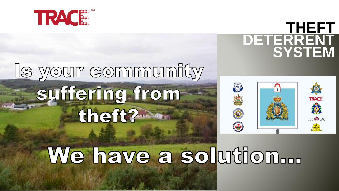

## Is your community suffering from theft?



## We have a solution...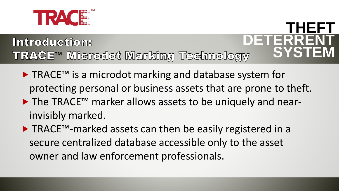

#### **DETERRENT** Introduction: TRACE<sup>™</sup> Microdot Marking Technology

▶ TRACE™ is a microdot marking and database system for protecting personal or business assets that are prone to theft.

**THEFT**

- ▶ The TRACE<sup>™</sup> marker allows assets to be uniquely and nearinvisibly marked.
- TRACE™-marked assets can then be easily registered in a secure centralized database accessible only to the asset owner and law enforcement professionals.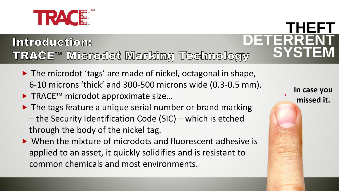

#### **DETERRENT** Introduction: TRACE<sup>™</sup> Microdot Marking Technology

- ▶ The microdot 'tags' are made of nickel, octagonal in shape, 6‐10 microns 'thick' and 300-500 microns wide (0.3-0.5 mm).
- ▶ TRACE™ microdot approximate size...
- ▶ The tags feature a unique serial number or brand marking
	- the Security Identification Code (SIC) which is etched through the body of the nickel tag.
- ▶ When the mixture of microdots and fluorescent adhesive is applied to an asset, it quickly solidifies and is resistant to common chemicals and most environments.

**In case you missed it.**

**THEFT**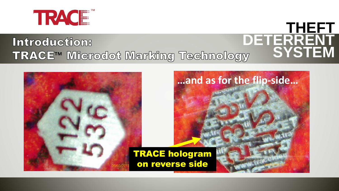

#### **THEFT DETERRENT** Introduction: **SYSTEM** TRACE<sup>™</sup> Microdot Marking Technology

**…and as for the flip-side…**

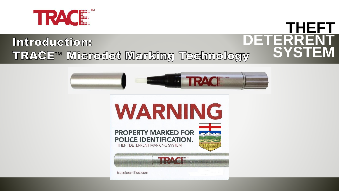

# Introduction:<br>TRACE™ Microdot Marking Technology



**THEFT**

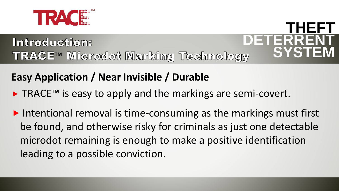

# **Introduction:<br>TRACE™ Microdot Marking Technology**

#### **Easy Application / Near Invisible / Durable**

- ► TRACE<sup>™</sup> is easy to apply and the markings are semi-covert.
- $\triangleright$  Intentional removal is time-consuming as the markings must first be found, and otherwise risky for criminals as just one detectable microdot remaining is enough to make a positive identification leading to a possible conviction.

**THEFT**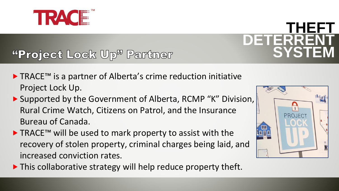

#### "Project Lock Up<sup>y</sup> Partner

- ▶ TRACE™ is a partner of Alberta's crime reduction initiative Project Lock Up.
- ▶ Supported by the Government of Alberta, RCMP "K" Division, Rural Crime Watch, Citizens on Patrol, and the Insurance Bureau of Canada.
- ▶ TRACE™ will be used to mark property to assist with the recovery of stolen property, criminal charges being laid, and increased conviction rates.





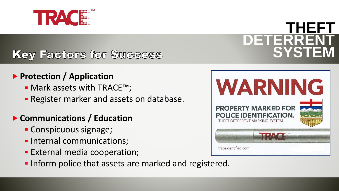

#### Key Factors for Success

#### **Protection / Application**

- Mark assets with TRACE™;
- **E** Register marker and assets on database.

#### **Communications / Education**

- Conspicuous signage;
- **.** Internal communications;
- **External media cooperation;**
- **.** Inform police that assets are marked and registered.

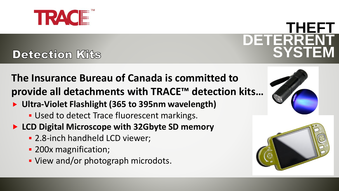

## **Detection Kits**

**The Insurance Bureau of Canada is committed to provide all detachments with TRACE™ detection kits…**

- **Ultra-Violet Flashlight (365 to 395nm wavelength)**
	- **.** Used to detect Trace fluorescent markings.
- **LCD Digital Microscope with 32Gbyte SD memory**
	- **.** 2.8-inch handheld LCD viewer;
	- 200x magnification;
	- View and/or photograph microdots.



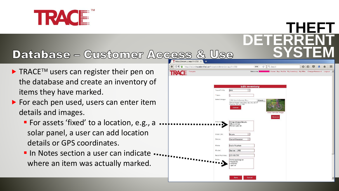

#### **Database - Customer Access**

- $\blacktriangleright$  TRACE<sup>TM</sup> users can register their pen on the database and create an inventory of items they have marked.
- ▶ For each pen used, users can enter item details and images.
	- **For assets 'fixed' to a location, e.g., a ...** solar panel, a user can add location details or GPS coordinates.
	- **In Notes section a user can indicate ...** where an item was actually marked.



**THEFT**

**DETERRENT**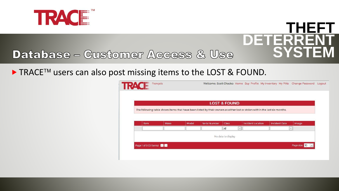

#### **THEFT DETERRENT SYSTEM Database - Customer Access & Use**

 $\blacktriangleright$  TRACE<sup>TM</sup> users can also post missing items to the LOST & FOUND.

|      |      |       |                                                                                                                            | <b>LOST &amp; FOUND</b> |            |                          |                      |              |       |
|------|------|-------|----------------------------------------------------------------------------------------------------------------------------|-------------------------|------------|--------------------------|----------------------|--------------|-------|
|      |      |       | The following table shows items that have been listed by their owners as either lost or stolen within the last six months. |                         |            |                          |                      |              |       |
|      |      |       |                                                                                                                            |                         |            |                          |                      |              |       |
|      |      |       |                                                                                                                            |                         |            |                          |                      |              |       |
| Item | Make | Model | Serial Number                                                                                                              | <b>Class</b>            |            | <b>Incident Location</b> | <b>Incident Date</b> |              | Image |
|      |      |       |                                                                                                                            | All                     | $\backsim$ |                          |                      | $\checkmark$ |       |
|      |      |       |                                                                                                                            |                         |            |                          |                      |              |       |
|      |      |       |                                                                                                                            | No data to display      |            |                          |                      |              |       |
|      |      |       |                                                                                                                            |                         |            |                          |                      |              |       |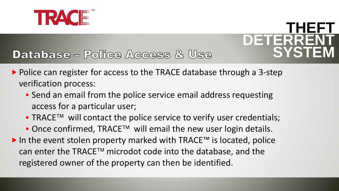



#### **Database - Police Access & Use**

- $\triangleright$  Police can register for access to the TRACE database through a 3-step verification process:
	- **Send an email from the police service email address requesting** access for a particular user;
	- $\blacksquare$  TRACE<sup>TM</sup> will contact the police service to verify user credentials;
	- $\blacksquare$  Once confirmed, TRACE<sup>TM</sup> will email the new user login details.
- In the event stolen property marked with TRACE™ is located, police can enter the  $TRACE^{TM}$  microdot code into the database, and the registered owner of the property can then be identified.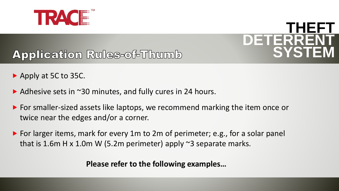

#### **Application Rules-of-Thumb**

- ▶ Apply at 5C to 35C.
- ▶ Adhesive sets in ~30 minutes, and fully cures in 24 hours.
- For smaller-sized assets like laptops, we recommend marking the item once or twice near the edges and/or a corner.
- ▶ For larger items, mark for every 1m to 2m of perimeter; e.g., for a solar panel that is 1.6m H x 1.0m W (5.2m perimeter) apply  $\approx$ 3 separate marks.

**Please refer to the following examples…**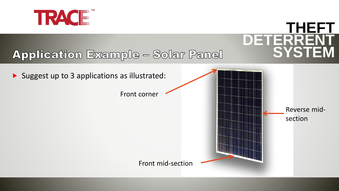

## **DETERRENT Application Example - Solar Panel**



**THEFT**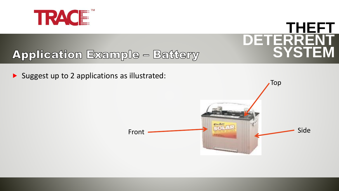

#### **Application Example - Battery**

Suggest up to 2 applications as illustrated:

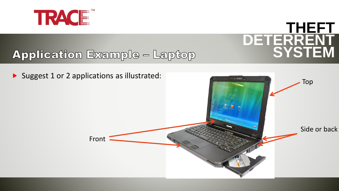

## **Application Example - Laptop**